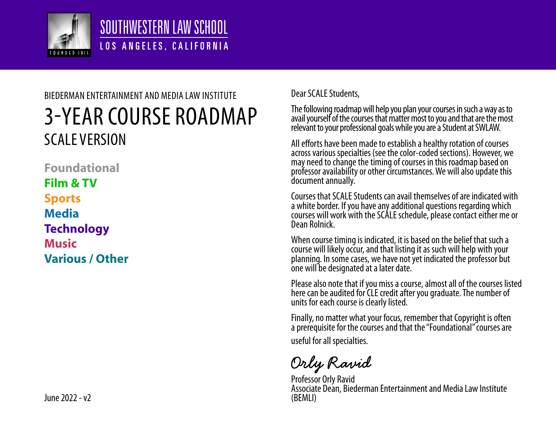

## SOUTHWESTERN LAW SCHOOL LOS ANGELES, CALIFORNIA

# 3-YEAR COURSE ROADMAP SCALE VERSION BIEDERMAN ENTERTAINMENT AND MEDIA LAW INSTITUTE

**Foundational Film & TV Sports Media Technology Music Various / Other**

 $\ln$ Per 2022 - v2

#### Dear SCALE Students,

The following roadmap will help you plan your courses in such a way as to avail yourself of the courses that matter most to you and that are the most relevant to your professional goals while you are a Student at SWLAW.

All efforts have been made to establish a healthy rotation of courses across various specialties (see the color-coded sections). However, we may need to change the timing of courses in this roadmap based on professor availability or other circumstances. We will also update this document annually.

Courses that SCALE Students can avail themselves of are indicated with a white border. If you have any additional questions regarding which courses will work with the SCALE schedule, please contact either me or Dean Rolnick.

When course timing is indicated, it is based on the belief that such a course will likely occur, and that listing it as such will help with your planning. In some cases, we have not yet indicated the professor but one will be designated at a later date.

Please also note that if you miss a course, almost all of the courses listed here can be audited for CLE credit after you graduate. The number of units for each course is clearly listed.

Finally, no matter what your focus, remember that Copyright is often a prerequisite for the courses and that the "Foundational" courses are useful for all specialties.

Orly Ravid

Professor Orly Ravid Associate Dean, Biederman Entertainment and Media Law Institute (BEMLI)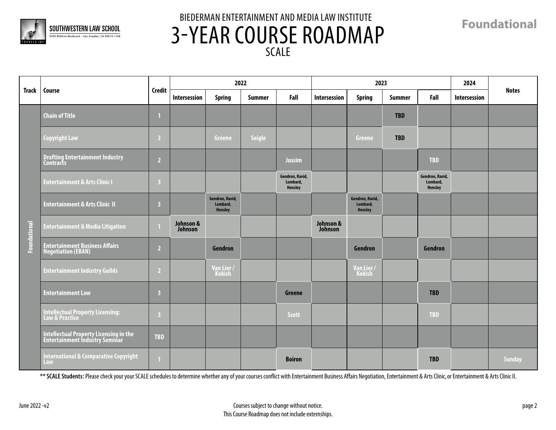

**Foundational**

|              | <b>Course</b>                                                            |                         | 2022                 |                                        |               |                                               |                      | 2023                                   | 2024       |                                        |              |               |
|--------------|--------------------------------------------------------------------------|-------------------------|----------------------|----------------------------------------|---------------|-----------------------------------------------|----------------------|----------------------------------------|------------|----------------------------------------|--------------|---------------|
| Track        |                                                                          | <b>Credit</b>           | Intersession         | <b>Spring</b>                          | <b>Summer</b> | Fall                                          | Intersession         | <b>Spring</b>                          | Summer     | Fall                                   | Intersession | <b>Notes</b>  |
|              | <b>Chain of Title</b>                                                    |                         |                      |                                        |               |                                               |                      |                                        | <b>TBD</b> |                                        |              |               |
|              | <b>Copyright Law</b>                                                     | $\overline{\mathbf{3}}$ |                      | Greene                                 | <b>Seigle</b> |                                               |                      | <b>Greene</b>                          | <b>TBD</b> |                                        |              |               |
|              | <b>Drafting Entertainment Industry</b><br><b>Contracts</b>               | $\overline{2}$          |                      |                                        |               | <b>Jussim</b>                                 |                      |                                        |            | <b>TBD</b>                             |              |               |
|              | <b>Entertainment &amp; Arts Clinic I</b>                                 | $\overline{\mathbf{3}}$ |                      |                                        |               | Gendron, Ravid,<br>Lombard,<br><b>Hensley</b> |                      |                                        |            | Gendron, Ravid,<br>Lombard,<br>Hensley |              |               |
|              | <b>Entertainment &amp; Arts Clinic II</b>                                | $\overline{\mathbf{3}}$ |                      | Gendron, Ravid,<br>Lombard,<br>Hensley |               |                                               |                      | Gendron, Ravid,<br>Lombard,<br>Hensley |            |                                        |              |               |
| Foundational | <b>Entertainment &amp; Media Litigation</b>                              |                         | Johnson &<br>Johnson |                                        |               |                                               | Johnson &<br>Johnson |                                        |            |                                        |              |               |
|              | Entertainment Business Affairs<br>Negotiation (EBAN)                     | $\overline{2}$          |                      | Gendron                                |               |                                               |                      | Gendron                                |            | Gendron                                |              |               |
|              | <b>Entertainment Industry Guilds</b>                                     | $\overline{2}$          |                      | Van Lier/<br>Kokish                    |               |                                               |                      | Van Lier /<br>Kokish                   |            |                                        |              |               |
|              | <b>Entertainment Law</b>                                                 | $\overline{\mathbf{3}}$ |                      |                                        |               | Greene                                        |                      |                                        |            | <b>TBD</b>                             |              |               |
|              | Intellectual Property Licensing:<br>Law & Practice                       | $\overline{\mathbf{3}}$ |                      |                                        |               | <b>Scott</b>                                  |                      |                                        |            | <b>TBD</b>                             |              |               |
|              | Intellectual Property Licensing in the<br>Entertainment Industry Seminar | <b>TBD</b>              |                      |                                        |               |                                               |                      |                                        |            |                                        |              |               |
|              | <b>International &amp; Comparative Copyright</b><br>Law                  |                         |                      |                                        |               | <b>Boiron</b>                                 |                      |                                        |            | <b>TBD</b>                             |              | <b>Sunday</b> |

\*\* SCALE Students: Please check your your SCALE schedules to determine whether any of your courses conflict with Entertainment Business Affairs Negotiation, Entertainment & Arts Clinic, or Entertainment & Arts Clinic II.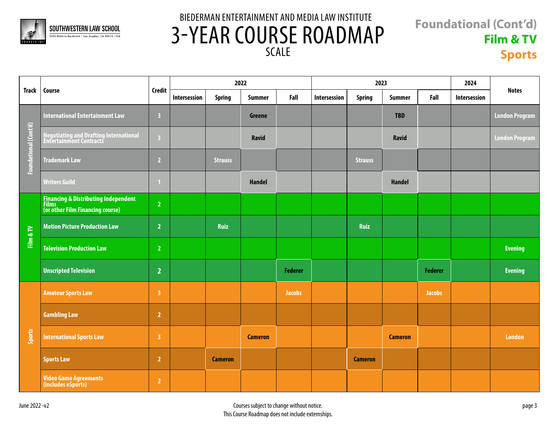

#### **Foundational (Cont'd) Film & TV Sports**

| <b>Track</b>          | Course                                                                            |                         | 2022         |                |                |                |              | 2023           | 2024           |                |              |                       |
|-----------------------|-----------------------------------------------------------------------------------|-------------------------|--------------|----------------|----------------|----------------|--------------|----------------|----------------|----------------|--------------|-----------------------|
|                       |                                                                                   | <b>Credit</b>           | Intersession | <b>Spring</b>  | <b>Summer</b>  | Fall           | Intersession | <b>Spring</b>  | <b>Summer</b>  | Fall           | Intersession | <b>Notes</b>          |
| Foundational (Cont'd) | <b>International Entertainment Law</b>                                            | $\overline{\mathbf{3}}$ |              |                | <b>Greene</b>  |                |              |                | <b>TBD</b>     |                |              | <b>London Program</b> |
|                       | Negotiating and Drafting International<br>Entertainment Contracts                 | $\overline{\mathbf{3}}$ |              |                | Ravid          |                |              |                | <b>Ravid</b>   |                |              | <b>London Program</b> |
|                       | <b>Trademark Law</b>                                                              | $\overline{2}$          |              | <b>Strauss</b> |                |                |              | <b>Strauss</b> |                |                |              |                       |
|                       | <b>Writers Guild</b>                                                              |                         |              |                | <b>Handel</b>  |                |              |                | <b>Handel</b>  |                |              |                       |
|                       | Financing & Distributing Independent<br>Films<br>(or other Film Financing course) | $\overline{2}$          |              |                |                |                |              |                |                |                |              |                       |
| Film & TV             | <b>Motion Picture Production Law</b>                                              | $\overline{2}$          |              | <b>Ruiz</b>    |                |                |              | Ruiz           |                |                |              |                       |
|                       | <b>Television Production Law</b>                                                  | $\overline{2}$          |              |                |                |                |              |                |                |                |              | <b>Evening</b>        |
|                       | <b>Unscripted Television</b>                                                      | $\overline{2}$          |              |                |                | <b>Federer</b> |              |                |                | <b>Federer</b> |              | <b>Evening</b>        |
|                       | <b>Amateur Sports Law</b>                                                         | $\overline{\mathbf{3}}$ |              |                |                | <b>Jacobs</b>  |              |                |                | <b>Jacobs</b>  |              |                       |
|                       | <b>Gambling Law</b>                                                               | $\overline{2}$          |              |                |                |                |              |                |                |                |              |                       |
| Sports                | <b>International Sports Law</b>                                                   | $\overline{3}$          |              |                | <b>Cameron</b> |                |              |                | <b>Cameron</b> |                |              | <b>London</b>         |
|                       | <b>Sports Law</b>                                                                 | $\overline{2}$          |              | <b>Cameron</b> |                |                |              | <b>Cameron</b> |                |                |              |                       |
|                       | <b>Video Game Agreements</b><br>(includes eSports)                                | $\overline{2}$          |              |                |                |                |              |                |                |                |              |                       |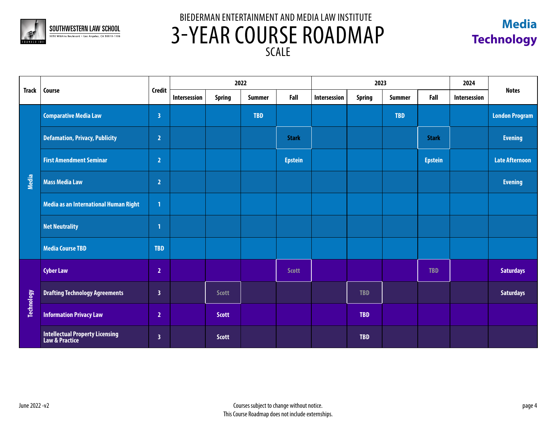



|                   | Course                                            |                         |              | 2022          |               |                |              | 2023          |               |                |              | <b>Notes</b>          |
|-------------------|---------------------------------------------------|-------------------------|--------------|---------------|---------------|----------------|--------------|---------------|---------------|----------------|--------------|-----------------------|
| <b>Track</b>      |                                                   | Credit                  | Intersession | <b>Spring</b> | <b>Summer</b> | Fall           | Intersession | <b>Spring</b> | <b>Summer</b> | Fall           | Intersession |                       |
|                   | <b>Comparative Media Law</b>                      | $\overline{\mathbf{3}}$ |              |               | <b>TBD</b>    |                |              |               | <b>TBD</b>    |                |              | <b>London Program</b> |
|                   | <b>Defamation, Privacy, Publicity</b>             | $\overline{2}$          |              |               |               | <b>Stark</b>   |              |               |               | <b>Stark</b>   |              | <b>Evening</b>        |
|                   | <b>First Amendment Seminar</b>                    | $\overline{2}$          |              |               |               | <b>Epstein</b> |              |               |               | <b>Epstein</b> |              | <b>Late Afternoon</b> |
| Media             | <b>Mass Media Law</b>                             | $\overline{2}$          |              |               |               |                |              |               |               |                |              | <b>Evening</b>        |
|                   | Media as an International Human Right             | $\mathbf{1}$            |              |               |               |                |              |               |               |                |              |                       |
|                   | <b>Net Neutrality</b>                             | $\mathbf{1}$            |              |               |               |                |              |               |               |                |              |                       |
|                   | <b>Media Course TBD</b>                           | <b>TBD</b>              |              |               |               |                |              |               |               |                |              |                       |
|                   | <b>Cyber Law</b>                                  | $\overline{2}$          |              |               |               | <b>Scott</b>   |              |               |               | <b>TBD</b>     |              | <b>Saturdays</b>      |
| <b>Technology</b> | <b>Drafting Technology Agreements</b>             | $\overline{\mathbf{3}}$ |              | <b>Scott</b>  |               |                |              | <b>TBD</b>    |               |                |              | <b>Saturdays</b>      |
|                   | <b>Information Privacy Law</b>                    | $\overline{2}$          |              | <b>Scott</b>  |               |                |              | <b>TBD</b>    |               |                |              |                       |
|                   | Intellectual Property Licensing<br>Law & Practice | $\overline{\mathbf{3}}$ |              | <b>Scott</b>  |               |                |              | <b>TBD</b>    |               |                |              |                       |